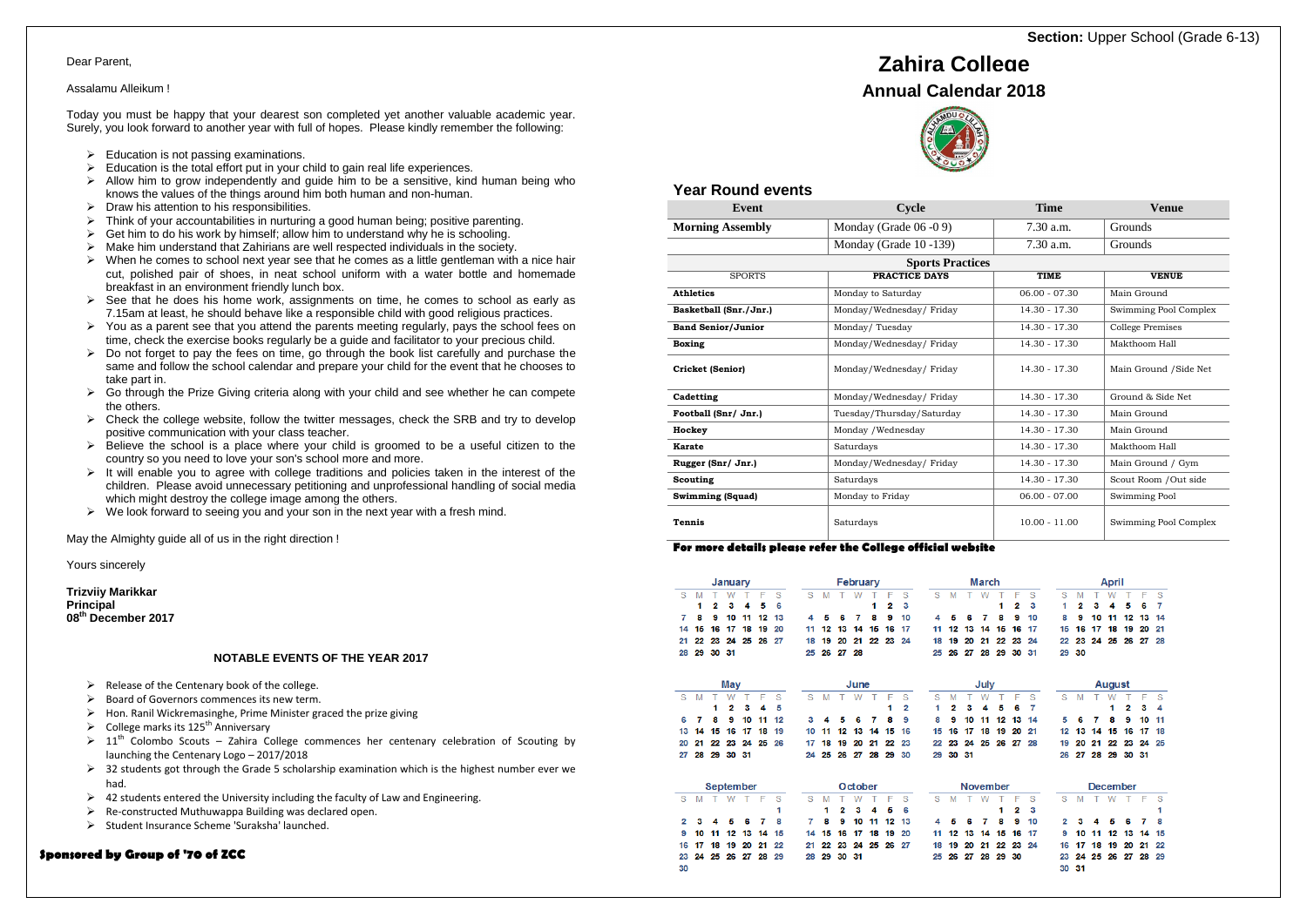#### **Sponsored by Group of '70 of ZCC**

## **Year Round events**

| <u>oui induinid croind</u> |                           |                      |                         |  |  |  |  |
|----------------------------|---------------------------|----------------------|-------------------------|--|--|--|--|
| Event                      | Cycle                     | <b>Time</b>          | Venue                   |  |  |  |  |
| <b>Morning Assembly</b>    | Monday (Grade 06 -0 9)    | 7.30 a.m.            | Grounds                 |  |  |  |  |
|                            | Monday (Grade 10-139)     | 7.30 a.m.<br>Grounds |                         |  |  |  |  |
|                            | <b>Sports Practices</b>   |                      |                         |  |  |  |  |
| <b>SPORTS</b>              | <b>PRACTICE DAYS</b>      | <b>TIME</b>          | <b>VENUE</b>            |  |  |  |  |
| <b>Athletics</b>           | Monday to Saturday        | $06.00 - 07.30$      | Main Ground             |  |  |  |  |
| Basketball (Snr./Jnr.)     | Monday/Wednesday/Friday   | $14.30 - 17.30$      | Swimming Pool Complex   |  |  |  |  |
| <b>Band Senior/Junior</b>  | Monday/Tuesday            | 14.30 - 17.30        | <b>College Premises</b> |  |  |  |  |
| <b>Boxing</b>              | Monday/Wednesday/Friday   | $14.30 - 17.30$      | Makthoom Hall           |  |  |  |  |
| Cricket (Senior)           | Monday/Wednesday/Friday   | $14.30 - 17.30$      | Main Ground / Side Net  |  |  |  |  |
| Cadetting                  | Monday/Wednesday/Friday   | $14.30 - 17.30$      | Ground & Side Net       |  |  |  |  |
| Football (Snr/ Jnr.)       | Tuesday/Thursday/Saturday | $14.30 - 17.30$      | Main Ground             |  |  |  |  |
| Hockey                     | Monday / Wednesday        | $14.30 - 17.30$      | Main Ground             |  |  |  |  |
| Karate                     | Saturdays                 | $14.30 - 17.30$      | Makthoom Hall           |  |  |  |  |
| Rugger (Snr/ Jnr.)         | Monday/Wednesday/Friday   | 14.30 - 17.30        | Main Ground / Gym       |  |  |  |  |
| Scouting                   | Saturdays                 | 14.30 - 17.30        | Scout Room / Out side   |  |  |  |  |
| <b>Swimming (Squad)</b>    | Monday to Friday          | $06.00 - 07.00$      | Swimming Pool           |  |  |  |  |
| <b>Tennis</b>              | Saturdays                 | $10.00 - 11.00$      | Swimming Pool Complex   |  |  |  |  |

## **For more details please refer the College official website**

|    |    |           | January |     |    |    |    |              |       | <b>February</b> |    |    |    |    |                 |     | March |    |    | April |          |    |       |    |    |     |    |
|----|----|-----------|---------|-----|----|----|----|--------------|-------|-----------------|----|----|----|----|-----------------|-----|-------|----|----|-------|----------|----|-------|----|----|-----|----|
| s  | M  |           | W       | т   | F  | S  | S  | M            |       | W               |    | F  | S  | S  | M               |     | W     |    | F  | S     | s        | M  |       | W  |    | F   | S  |
|    | 1  | 2         | 3       | 4   | 5  | 6  |    |              |       |                 | 1  | 2  | 3  |    |                 |     |       | 1  | 2  | 3     | 1        | 2  | 3     |    | 5  | 6   | 7  |
| 7  | 8  | 9         | 10      | 11  | 12 | 13 | 4  | 5            | 6     | 7               | 8  | 9  | 10 | 4  | 5               | 6   | 7     | 8  | 9  | 10    | 8        | 9  | 10    | 11 | 12 | 13  | 14 |
| 14 | 15 | 16        | 17      | 18  | 19 | 20 | 11 | 12           | 13    | 14              | 15 | 16 | 17 | 11 | 12              | 13  | 14    | 15 | 16 | 17    | 15       | 16 | 17    | 18 | 19 | 20  | 21 |
| 21 | 22 | 23        | 24      | 25  | 26 | 27 | 18 | 19           | 20    | 21              | 22 | 23 | 24 | 18 | 19              | 20  | 21    | 22 | 23 | 24    | 22       | 23 | 24    | 25 | 26 | 27  | 28 |
| 28 | 29 | 30 31     |         |     |    |    | 25 | 26           | 27 28 |                 |    |    |    | 25 | 26              | 27  | 28    | 29 | 30 | -31   | 29       | 30 |       |    |    |     |    |
|    |    |           | May     |     |    |    |    | June<br>July |       |                 |    |    |    |    | August          |     |       |    |    |       |          |    |       |    |    |     |    |
|    |    |           |         |     |    |    |    |              |       |                 |    | F  |    |    |                 |     |       |    |    |       |          |    |       |    |    |     |    |
| S  | M  | т         | W       |     | F  | S  | S  | M            | т     | W               | т  |    | S  | S  | M               |     | W     |    | F  | S     | S        | M  |       | W  |    | F   | S  |
|    |    | 1         | 2       | з   | 4  | 5  |    |              |       |                 |    | 1  | 2  | 1  | 2               | 3   | 4     | 5  | 6  | 7     |          |    |       | 1  | 2  | 3   | 4  |
| 6  | 7  | 8         | 9       | 10  | 11 | 12 | 3  |              | 5     | 6               | 7  | 8  | 9  | 8  | 9               | 10  | 11    | 12 | 13 | 14    | 5        | 6  |       | 8  | 9  | 10  | 11 |
| 13 | 14 | 15        | 16      | 17  | 18 | 19 | 10 | 11           | 12    | 13              | 14 | 15 | 16 | 15 | 16              | 17  | 18    | 19 | 20 | 21    | 12       | 13 | 14    | 15 | 16 | 17  | 18 |
| 20 | 21 | 22        | 23      | 24  | 25 | 26 | 17 | 18           | 19    | 20              | 21 | 22 | 23 | 22 | 23              | 24  | 25    | 26 | 27 | 28    | 19       | 20 | 21    | 22 | 23 | 24  | 25 |
| 27 | 28 | 29        | 30      | -31 |    |    | 24 | 25           | 26    | 27              | 28 | 29 | 30 | 29 | 30              | -31 |       |    |    |       | 26       | 27 | 28    | 29 | 30 | -31 |    |
|    |    | September |         |     |    |    |    |              |       | October         |    |    |    |    | <b>November</b> |     |       |    |    |       | December |    |       |    |    |     |    |
| S  | M  | т         | W       | т   | F  | S  | S  | M            |       |                 |    | F  | S  | S  | M               |     | W     |    | F  | S     | S        | M  | т     | W  | т  | F   | S  |
|    |    |           |         |     |    | 1  |    | 1            | 2     | з               | 4  | 5  | 6  |    |                 |     |       | 1  | 2  | з     |          |    |       |    |    |     | 1  |
| 2  | з  |           | 5       | 6   | 7  | 8  | 7  | 8            | 9     | 10              | 11 | 12 | 13 | 4  | 5               | 6   |       | 8  | 9  | 10    | 2        | з  |       |    | 6  | 7   | 8  |
| 9  | 10 | 11        | 12      | 13  | 14 | 15 | 14 | 15           | 16    | 17              | 18 | 19 | 20 | 11 | 12              | 13  | 14    | 15 | 16 | 17    | 9        | 10 | 11    | 12 | 13 | 14  | 15 |
| 16 | 17 | 18        | 19      | 20  | 21 | 22 | 21 | 22           | 23    | 24              | 25 | 26 | 27 | 18 | 19              | 20  | 21    | 22 | 23 | 24    | 16       | 17 | 18    | 19 | 20 | 21  | 22 |
| 23 | 24 | 25        | 26      | 27  | 28 | 29 | 28 | 29           | 30    | 31              |    |    |    | 25 | 26              | 27  | 28    | 29 | 30 |       | 23       |    | 24 25 | 26 | 27 | 28  | 29 |

# **Section: Upper School (Grade 6-13)**

30 31

## **Zahira College**





#### Dear Parent,

#### Assalamu Alleikum !

Today you must be happy that your dearest son completed yet another valuable academic year. Surely, you look forward to another year with full of hopes. Please kindly remember the following:

- $\triangleright$  Education is not passing examinations.
- $\triangleright$  Education is the total effort put in your child to gain real life experiences.
- $\triangleright$  Allow him to grow independently and guide him to be a sensitive, kind human being who knows the values of the things around him both human and non-human.
- $\triangleright$  Draw his attention to his responsibilities.
- $\triangleright$  Think of your accountabilities in nurturing a good human being; positive parenting.
- $\triangleright$  Get him to do his work by himself; allow him to understand why he is schooling.
- $\triangleright$  Make him understand that Zahirians are well respected individuals in the society.
- $\triangleright$  When he comes to school next year see that he comes as a little gentleman with a nice hair cut, polished pair of shoes, in neat school uniform with a water bottle and homemade breakfast in an environment friendly lunch box.
- $\triangleright$  See that he does his home work, assignments on time, he comes to school as early as 7.15am at least, he should behave like a responsible child with good religious practices.
- $\triangleright$  You as a parent see that you attend the parents meeting regularly, pays the school fees on time, check the exercise books regularly be a guide and facilitator to your precious child.
- $\triangleright$  Do not forget to pay the fees on time, go through the book list carefully and purchase the same and follow the school calendar and prepare your child for the event that he chooses to take part in.
- $\triangleright$  Go through the Prize Giving criteria along with your child and see whether he can compete the others.
- $\triangleright$  Check the college website, follow the twitter messages, check the SRB and try to develop positive communication with your class teacher.
- $\triangleright$  Believe the school is a place where your child is groomed to be a useful citizen to the country so you need to love your son's school more and more.
- $\triangleright$  It will enable you to agree with college traditions and policies taken in the interest of the children. Please avoid unnecessary petitioning and unprofessional handling of social media which might destroy the college image among the others.
- $\triangleright$  We look forward to seeing you and your son in the next year with a fresh mind.

May the Almighty guide all of us in the right direction !

#### Yours sincerely

**Trizviiy Marikkar Principal 08th December 2017** 

### **NOTABLE EVENTS OF THE YEAR 2017**

- $\triangleright$  Release of the Centenary book of the college.
- $\triangleright$  Board of Governors commences its new term.
- $\triangleright$  Hon. Ranil Wickremasinghe, Prime Minister graced the prize giving
- $\triangleright$  College marks its 125<sup>th</sup> Anniversary
- $\geq 11^{th}$  Colombo Scouts Zahira College commences her centenary celebration of Scouting by launching the Centenary Logo – 2017/2018
- $\geq$  32 students got through the Grade 5 scholarship examination which is the highest number ever we had.
- $\geq$  42 students entered the University including the faculty of Law and Engineering.
- $\triangleright$  Re-constructed Muthuwappa Building was declared open.
- $\triangleright$  Student Insurance Scheme 'Suraksha' launched.